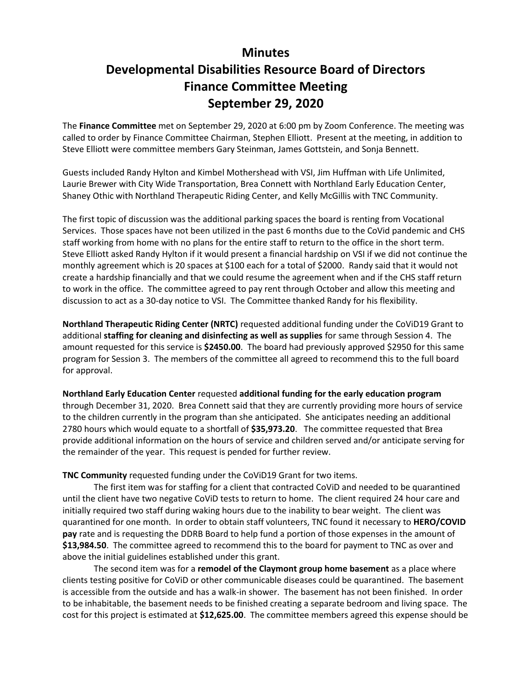## **Minutes Developmental Disabilities Resource Board of Directors Finance Committee Meeting September 29, 2020**

The **Finance Committee** met on September 29, 2020 at 6:00 pm by Zoom Conference. The meeting was called to order by Finance Committee Chairman, Stephen Elliott. Present at the meeting, in addition to Steve Elliott were committee members Gary Steinman, James Gottstein, and Sonja Bennett.

Guests included Randy Hylton and Kimbel Mothershead with VSI, Jim Huffman with Life Unlimited, Laurie Brewer with City Wide Transportation, Brea Connett with Northland Early Education Center, Shaney Othic with Northland Therapeutic Riding Center, and Kelly McGillis with TNC Community.

The first topic of discussion was the additional parking spaces the board is renting from Vocational Services. Those spaces have not been utilized in the past 6 months due to the CoVid pandemic and CHS staff working from home with no plans for the entire staff to return to the office in the short term. Steve Elliott asked Randy Hylton if it would present a financial hardship on VSI if we did not continue the monthly agreement which is 20 spaces at \$100 each for a total of \$2000. Randy said that it would not create a hardship financially and that we could resume the agreement when and if the CHS staff return to work in the office. The committee agreed to pay rent through October and allow this meeting and discussion to act as a 30-day notice to VSI. The Committee thanked Randy for his flexibility.

**Northland Therapeutic Riding Center (NRTC)** requested additional funding under the CoViD19 Grant to additional **staffing for cleaning and disinfecting as well as supplies** for same through Session 4. The amount requested for this service is **\$2450.00**. The board had previously approved \$2950 for this same program for Session 3. The members of the committee all agreed to recommend this to the full board for approval.

**Northland Early Education Center** requested **additional funding for the early education program**

through December 31, 2020. Brea Connett said that they are currently providing more hours of service to the children currently in the program than she anticipated. She anticipates needing an additional 2780 hours which would equate to a shortfall of **\$35,973.20**. The committee requested that Brea provide additional information on the hours of service and children served and/or anticipate serving for the remainder of the year. This request is pended for further review.

**TNC Community** requested funding under the CoViD19 Grant for two items.

The first item was for staffing for a client that contracted CoViD and needed to be quarantined until the client have two negative CoViD tests to return to home. The client required 24 hour care and initially required two staff during waking hours due to the inability to bear weight. The client was quarantined for one month. In order to obtain staff volunteers, TNC found it necessary to **HERO/COVID pay** rate and is requesting the DDRB Board to help fund a portion of those expenses in the amount of **\$13,984.50**. The committee agreed to recommend this to the board for payment to TNC as over and above the initial guidelines established under this grant.

The second item was for a **remodel of the Claymont group home basement** as a place where clients testing positive for CoViD or other communicable diseases could be quarantined. The basement is accessible from the outside and has a walk-in shower. The basement has not been finished. In order to be inhabitable, the basement needs to be finished creating a separate bedroom and living space. The cost for this project is estimated at **\$12,625.00**. The committee members agreed this expense should be